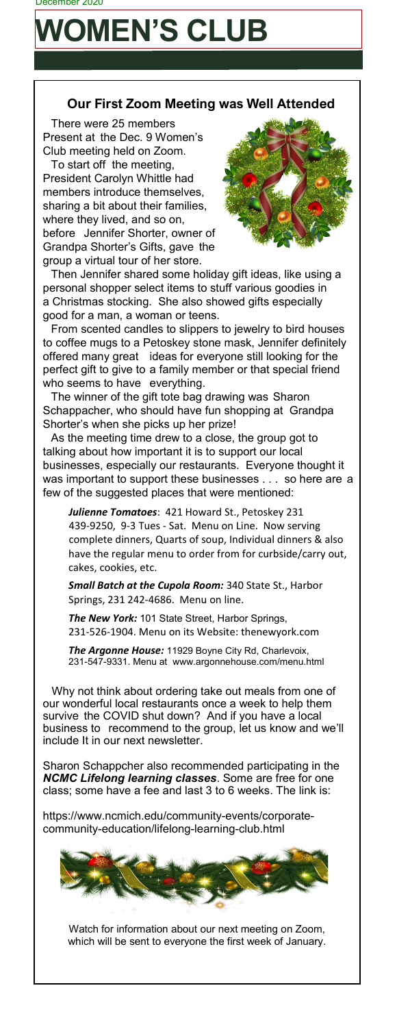## **WOMEN'S CLUB**

## **Our First Zoom Meeting was Well Attended**

There were 25 members Present at the Dec. 9 Women's Club meeting held on Zoom.

To start off the meeting, President Carolyn Whittle had members introduce themselves, sharing a bit about their families, where they lived, and so on, before Jennifer Shorter, owner of Grandpa Shorter's Gifts, gave the group a virtual tour of her store.



Then Jennifer shared some holiday gift ideas, like using a personal shopper select items to stuff various goodies in a Christmas stocking. She also showed gifts especially good for a man, a woman or teens.

From scented candles to slippers to jewelry to bird houses to coffee mugs to a Petoskey stone mask, Jennifer definitely offered many great ideas for everyone still looking for the perfect gift to give to a family member or that special friend who seems to have everything.

The winner of the gift tote bag drawing was Sharon Schappacher, who should have fun shopping at Grandpa Shorter's when she picks up her prize!

As the meeting time drew to a close, the group got to talking about how important it is to support our local businesses, especially our restaurants. Everyone thought it was important to support these businesses . . . so here are a few of the suggested places that were mentioned:

*Julienne Tomatoes*: 421 Howard St., Petoskey 231 439-9250, 9-3 Tues - Sat. Menu on Line. Now serving complete dinners, Quarts of soup, Individual dinners & also have the regular menu to order from for curbside/carry out, cakes, cookies, etc.

*Small Batch at the Cupola Room:* 340 State St., Harbor Springs, 231 242-4686. Menu on line.

*The New York:* 101 State Street, Harbor Springs, 231-526-1904. Menu on its Website: thenewyork.com

*The Argonne House:* 11929 Boyne City Rd, Charlevoix, 231-547-9331. Menu at www.argonnehouse.com/menu.html

Why not think about ordering take out meals from one of our wonderful local restaurants once a week to help them survive the COVID shut down? And if you have a local business to recommend to the group, let us know and we'll include It in our next newsletter.

Sharon Schappcher also recommended participating in the *NCMC Lifelong learning classes*. Some are free for one class; some have a fee and last 3 to 6 weeks. The link is:

https://www.ncmich.edu/community-events/corporatecommunity-education/lifelong-learning-club.html



Watch for information about our next meeting on Zoom, which will be sent to everyone the first week of January.